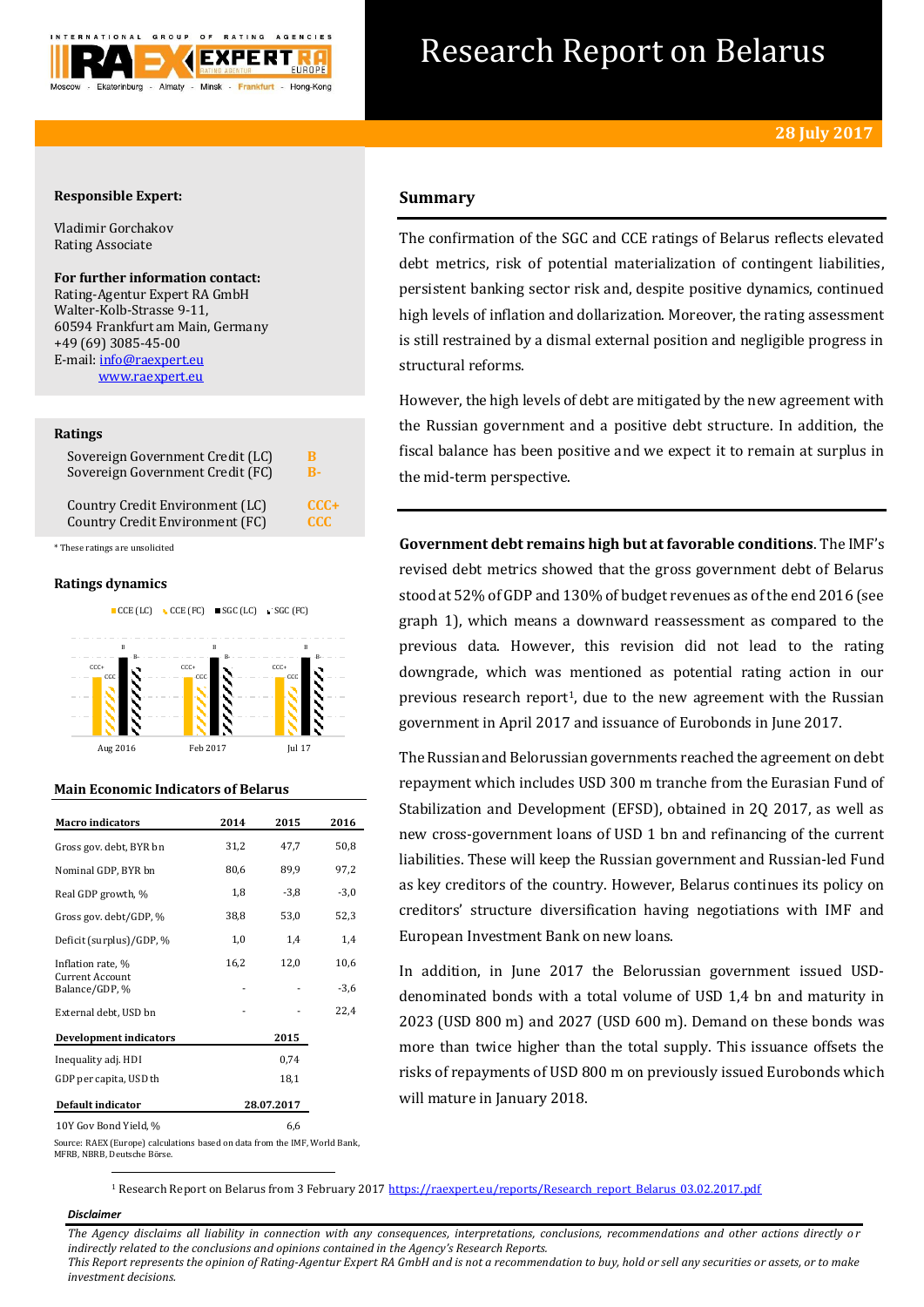

# Research Report on Belarus

# **Responsible Expert:**

Vladimir Gorchakov Rating Associate

**For further information contact:** Rating-Agentur Expert RA GmbH Walter-Kolb-Strasse 9-11, 60594 Frankfurt am Main, Germany +49 (69) 3085-45-00 E-mail[: info@raexpert.eu](mailto:info@raexpert.eu) [www.raexpert.eu](http://raexpert.eu/)

#### **Ratings**

| Sovereign Government Credit (LC) | B          |
|----------------------------------|------------|
| Sovereign Government Credit (FC) | R-         |
| Country Credit Environment (LC)  | $CCC +$    |
| Country Credit Environment (FC)  | <b>CCC</b> |

\* These ratings are unsolicited

# **Ratings dynamics**



# **Main Economic Indicators of Belarus**

| <b>Macro</b> indicators                  | 2014       | 2015   | 2016   |
|------------------------------------------|------------|--------|--------|
| Gross gov. debt, BYR bn                  | 31,2       | 47,7   | 50,8   |
| Nominal GDP, BYR bn                      | 80,6       | 89,9   | 97,2   |
| Real GDP growth, %                       | 1,8        | $-3,8$ | $-3,0$ |
| Gross gov. debt/GDP, %                   | 38,8       | 53,0   | 52,3   |
| Deficit (surplus)/GDP, %                 | 1,0        | 1,4    | 1,4    |
| Inflation rate, %                        | 16,2       | 12,0   | 10,6   |
| <b>Current Account</b><br>Balance/GDP, % |            |        | $-3,6$ |
| External debt, USD bn                    |            |        | 22,4   |
| <b>Development indicators</b>            |            | 2015   |        |
| Inequality adj. HDI                      |            | 0,74   |        |
| GDP per capita, USD th                   |            | 18,1   |        |
| Default indicator                        | 28.07.2017 |        |        |
| 10Y Gov Bond Yield, %                    |            | 6,6    |        |

# **Summary**

The confirmation of the SGC and CCE ratings of Belarus reflects elevated debt metrics, risk of potential materialization of contingent liabilities, persistent banking sector risk and, despite positive dynamics, continued high levels of inflation and dollarization. Moreover, the rating assessment is still restrained by a dismal external position and negligible progress in structural reforms.

However, the high levels of debt are mitigated by the new agreement with the Russian government and a positive debt structure. In addition, the fiscal balance has been positive and we expect it to remain at surplus in the mid-term perspective.

**Government debt remains high but at favorable conditions**. The IMF's revised debt metrics showed that the gross government debt of Belarus stood at 52% of GDP and 130% of budget revenues as of the end 2016 (see graph 1), which means a downward reassessment as compared to the previous data. However, this revision did not lead to the rating downgrade, which was mentioned as potential rating action in our previous research report<sup>1</sup>, due to the new agreement with the Russian government in April 2017 and issuance of Eurobonds in June 2017.

The Russian and Belorussian governments reached the agreement on debt repayment which includes USD 300 m tranche from the Eurasian Fund of Stabilization and Development (EFSD), obtained in 20 2017, as well as new cross-government loans of USD 1 bn and refinancing of the current liabilities. These will keep the Russian government and Russian-led Fund as key creditors of the country. However, Belarus continues its policy on creditors' structure diversification having negotiations with IMF and European Investment Bank on new loans.

In addition, in June 2017 the Belorussian government issued USDdenominated bonds with a total volume of USD 1,4 bn and maturity in 2023 (USD 800 m) and 2027 (USD 600 m). Demand on these bonds was more than twice higher than the total supply. This issuance offsets the risks of repayments of USD 800 m on previously issued Eurobonds which will mature in January 2018.

Source: RAEX (Europe) calculations based on data from the IMF, World Bank, MFRB, NBRB, Deutsche Börse. -

<sup>1</sup> Research Report on Belarus from 3 February 201[7 https://raexpert.eu/reports/Research\\_report\\_Belarus\\_03.02.2017.pdf](https://raexpert.eu/reports/Research_report_Belarus_03.02.2017.pdf)

#### *Disclaimer*

*The Agency disclaims all liability in connection with any consequences, interpretations, conclusions, recommendations and other actions directly o r indirectly related to the conclusions and opinions contained in the Agency's Research Reports.*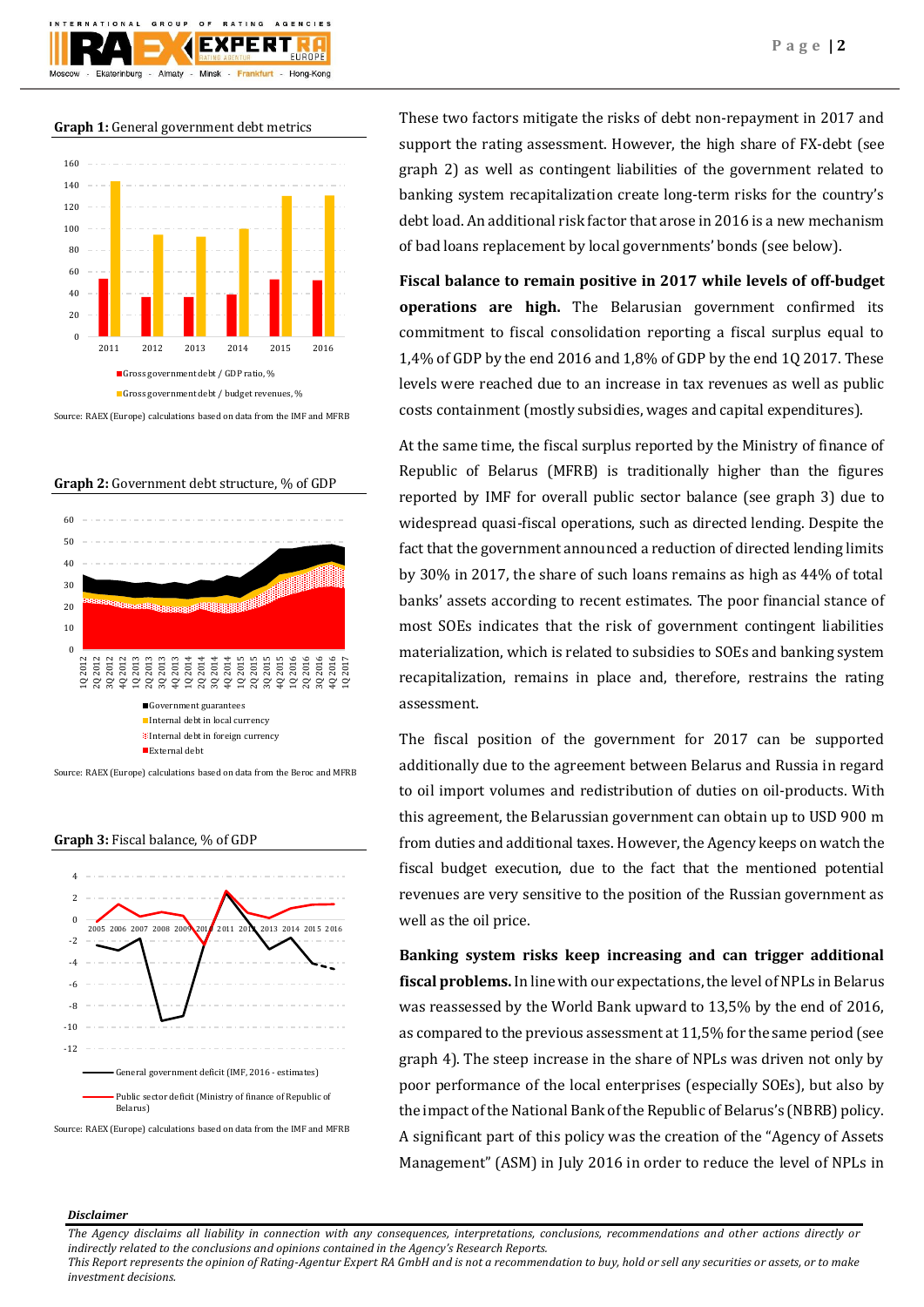**Graph 1:** General government debt metrics

Almaty - Minsk -

 $O F$ 

GROUP

TIONAL

Ekaterinburg

**BATING** 

FXPFRT

Frankfurt

**AGENCIES** 

Hong-Kong



Source: RAEX (Europe) calculations based on data from the IMF and MFRB





Source: RAEX (Europe) calculations based on data from the Beroc and MFRB





Source: RAEX (Europe) calculations based on data from the IMF and MFRB

These two factors mitigate the risks of debt non-repayment in 2017 and support the rating assessment. However, the high share of FX-debt (see graph 2) as well as contingent liabilities of the government related to banking system recapitalization create long-term risks for the country's debt load. An additional risk factor that arose in 2016 is a new mechanism of bad loans replacement by local governments' bonds (see below).

**Fiscal balance to remain positive in 2017 while levels of off-budget operations are high.** The Belarusian government confirmed its commitment to fiscal consolidation reporting a fiscal surplus equal to 1,4% of GDP by the end 2016 and 1,8% of GDP by the end 1Q 2017. These levels were reached due to an increase in tax revenues as well as public costs containment (mostly subsidies, wages and capital expenditures).

At the same time, the fiscal surplus reported by the Ministry of finance of Republic of Belarus (MFRB) is traditionally higher than the figures reported by IMF for overall public sector balance (see graph 3) due to widespread quasi-fiscal operations, such as directed lending. Despite the fact that the government announced a reduction of directed lending limits by 30% in 2017, the share of such loans remains as high as 44% of total banks' assets according to recent estimates. The poor financial stance of most SOEs indicates that the risk of government contingent liabilities materialization, which is related to subsidies to SOEs and banking system recapitalization, remains in place and, therefore, restrains the rating assessment.

The fiscal position of the government for 2017 can be supported additionally due to the agreement between Belarus and Russia in regard to oil import volumes and redistribution of duties on oil-products. With this agreement, the Belarussian government can obtain up to USD 900 m from duties and additional taxes. However, the Agency keeps on watch the fiscal budget execution, due to the fact that the mentioned potential revenues are very sensitive to the position of the Russian government as well as the oil price.

**Banking system risks keep increasing and can trigger additional fiscal problems.** In line with our expectations, the level of NPLs in Belarus was reassessed by the World Bank upward to 13,5% by the end of 2016, as compared to the previous assessment at 11,5% for the same period (see graph 4). The steep increase in the share of NPLs was driven not only by poor performance of the local enterprises (especially SOEs), but also by the impact of the National Bank of the Republic of Belarus's (NBRB) policy. A significant part of this policy was the creation of the "Agency of Assets Management" (ASM) in July 2016 in order to reduce the level of NPLs in

#### *Disclaimer*

*The Agency disclaims all liability in connection with any consequences, interpretations, conclusions, recommendations and other actions directly or indirectly related to the conclusions and opinions contained in the Agency's Research Reports.*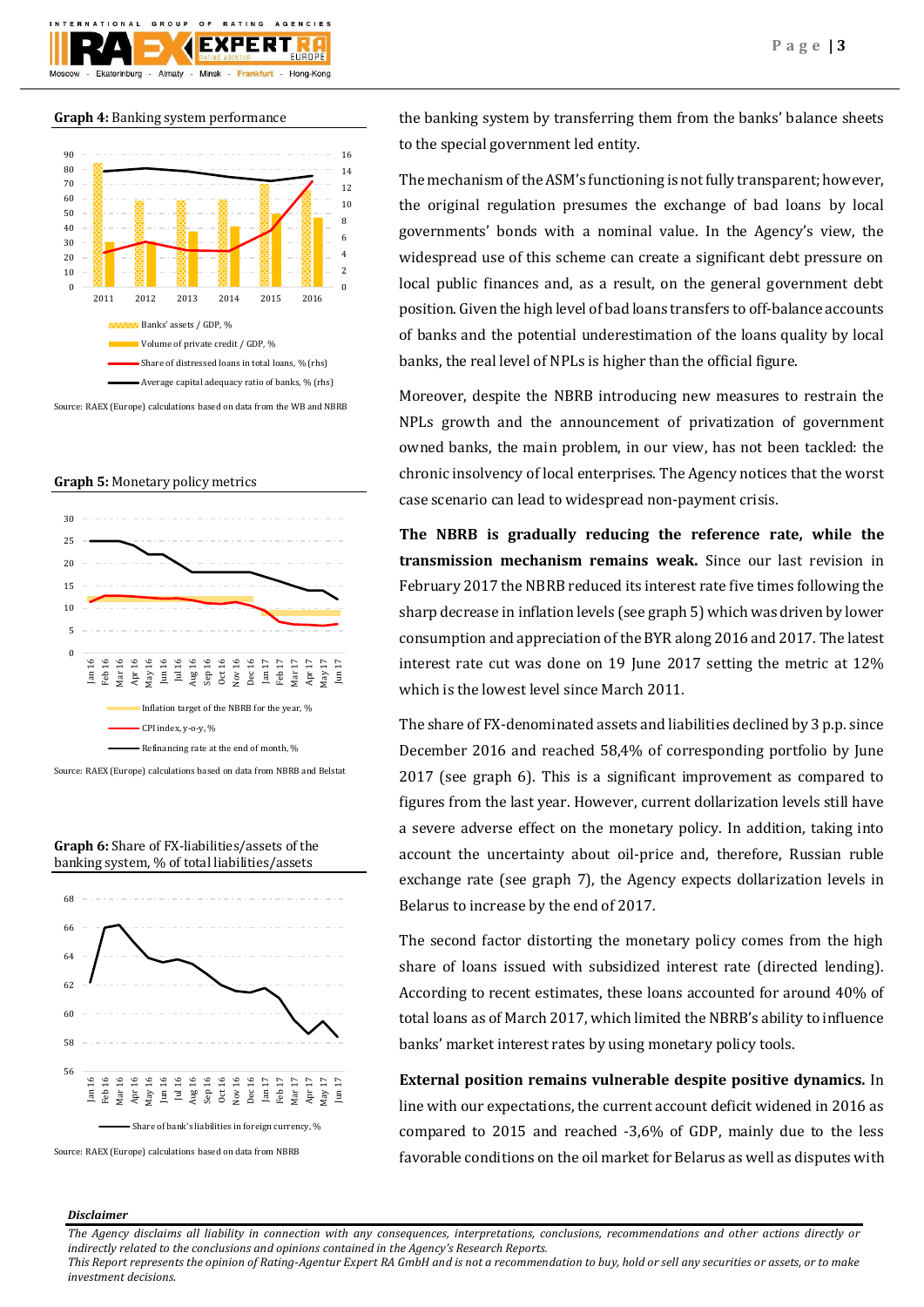

# **Graph 4:** Banking system performance



Source: RAEX (Europe) calculations based on data from the WB and NBRB

## **Graph 5:** Monetary policy metrics



Source: RAEX (Europe) calculations based on data from NBRB and Belstat





Source: RAEX (Europe) calculations based on data from NBRB

the banking system by transferring them from the banks' balance sheets to the special government led entity.

The mechanism of the ASM's functioning is not fully transparent; however, the original regulation presumes the exchange of bad loans by local governments' bonds with a nominal value. In the Agency's view, the widespread use of this scheme can create a significant debt pressure on local public finances and, as a result, on the general government debt position. Given the high level of bad loans transfers to off-balance accounts of banks and the potential underestimation of the loans quality by local banks, the real level of NPLs is higher than the official figure.

Moreover, despite the NBRB introducing new measures to restrain the NPLs growth and the announcement of privatization of government owned banks, the main problem, in our view, has not been tackled: the chronic insolvency of local enterprises. The Agency notices that the worst case scenario can lead to widespread non-payment crisis.

**The NBRB is gradually reducing the reference rate, while the transmission mechanism remains weak.** Since our last revision in February 2017 the NBRB reduced its interest rate five times following the sharp decrease in inflation levels (see graph 5) which was driven by lower consumption and appreciation of the BYR along 2016 and 2017. The latest interest rate cut was done on 19 June 2017 setting the metric at 12% which is the lowest level since March 2011.

The share of FX-denominated assets and liabilities declined by 3 p.p. since December 2016 and reached 58,4% of corresponding portfolio by June 2017 (see graph 6). This is a significant improvement as compared to figures from the last year. However, current dollarization levels still have a severe adverse effect on the monetary policy. In addition, taking into account the uncertainty about oil-price and, therefore, Russian ruble exchange rate (see graph 7), the Agency expects dollarization levels in Belarus to increase by the end of 2017.

The second factor distorting the monetary policy comes from the high share of loans issued with subsidized interest rate (directed lending). According to recent estimates, these loans accounted for around 40% of total loans as of March 2017, which limited the NBRB's ability to influence banks' market interest rates by using monetary policy tools.

**External position remains vulnerable despite positive dynamics.** In line with our expectations, the current account deficit widened in 2016 as compared to 2015 and reached -3,6% of GDP, mainly due to the less favorable conditions on the oil market for Belarus as well as disputes with

#### *Disclaimer*

*The Agency disclaims all liability in connection with any consequences, interpretations, conclusions, recommendations and other actions directly or indirectly related to the conclusions and opinions contained in the Agency's Research Reports.*